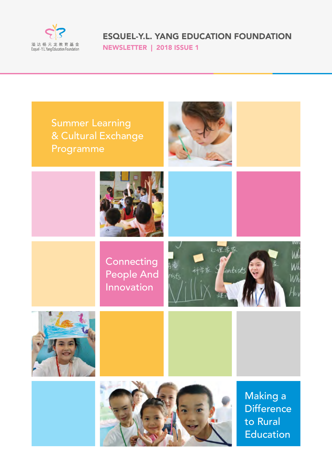

ESQUEL-Y.L. YANG EDUCATION FOUNDATION NEWSLETTER | 2018 ISSUE 1

Summer Learning & Cultural Exchange Programme





**Connecting** People And **Innovation** 









Making a **Difference** to Rural **Education**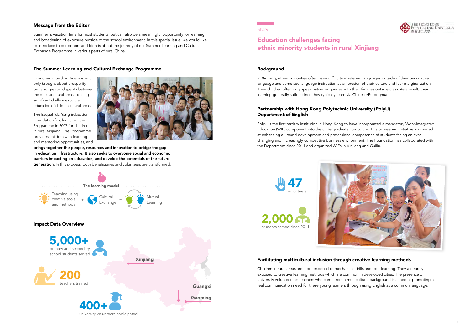

#### Background

In Xinjiang, ethnic minorities often have difficulty mastering languages outside of their own native language and some see language instruction as an erosion of their culture and fear marginalization. Their children often only speak native languages with their families outside class. As a result, their learning generally suffers since they typically learn via Chinese/Putonghua.

PolyU is the first tertiary institution in Hong Kong to have incorporated a mandatory Work-Integrated Education (WIE) component into the undergraduate curriculum. This pioneering initiative was aimed at enhancing all-round development and professional competence of students facing an everchanging and increasingly competitive business environment. The Foundation has collaborated with the Department since 2011 and organized WIEs in Xinjiang and Guilin.

## Partnership with Hong Kong Polytechnic University (PolyU) Department of English

## Facilitating multicultural inclusion through creative learning methods

Children in rural areas are more exposed to mechanical drills and rote-learning. They are rarely exposed to creative learning methods which are common in developed cities. The presence of university volunteers as teachers who come from a multicultural background is aimed at promoting a real communication need for these young learners through using English as a common language.







### Story 1

# Education challenges facing ethnic minority students in rural Xinjiang

### Message from the Editor

Summer is vacation time for most students, but can also be a meaningful opportunity for learning and broadening of exposure outside of the school environment. In this special issue, we would like to introduce to our donors and friends about the journey of our Summer Learning and Cultural Exchange Programme in various parts of rural China.

#### The Summer Learning and Cultural Exchange Programme

Economic growth in Asia has not only brought about prosperity, but also greater disparity between the cities and rural areas, creating significant challenges to the education of children in rural areas.

The Esquel-Y.L. Yang Education Foundation first launched the Programme in 2007 for children in rural Xinjiang. The Programme provides children with learning and mentoring opportunities, and



brings together the people, resources and innovation to bridge the gap in education infrastructure. It also seeks to overcome social and economic barriers impacting on education, and develop the potentials of the future generation. In this process, both beneficiaries and volunteers are transformed.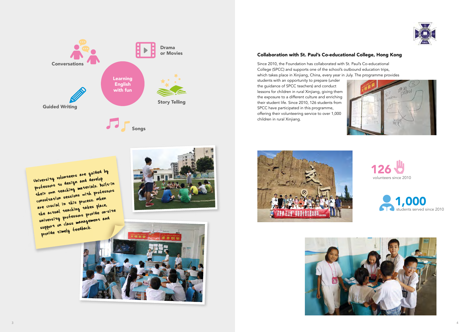

University volunteers are guided by professors to design and develop their own teaching materials. Built-in consultation sessions with professors<br>are crucial in this process. When<br>the actual teaching takes place, are crucial in this process. When are crucial in universeduce.<br>the actual teaching takes place,<br>university professors provide on-site iniversity protessore ,<br>support on class management and support on the feedback.<br>provide timely feedback.







# Collaboration with St. Paul's Co-educational College, Hong Kong

Since 2010, the Foundation has collaborated with St. Paul's Co-educational College (SPCC) and supports one of the school's outbound education trips, which takes place in Xinjiang, China, every year in July. The programme provides students with an opportunity to prepare (under the guidance of SPCC teachers) and conduct lessons for children in rural Xinjiang, giving them the exposure to a different culture and enriching their student life. Since 2010, 126 students from

SPCC have participated in this programme,







children in rural Xinjiang.



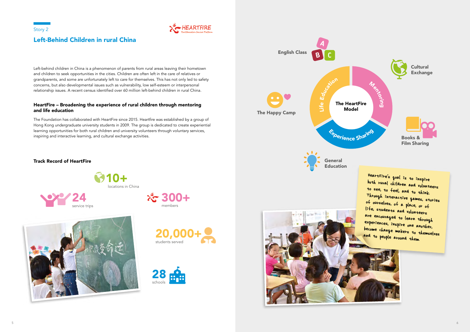Left-behind children in China is a phenomenon of parents from rural areas leaving their hometown and children to seek opportunities in the cities. Children are often left in the care of relatives or grandparents, and some are unfortunately left to care for themselves. This has not only led to safety concerns, but also developmental issues such as vulnerability, low self-esteem or interpersonal relationship issues. A recent census identified over 60 million left-behind children in rural China.

## HeartFire – Broadening the experience of rural children through mentoring and life education

HeartFire's goal is to inspire both rural children and volunteers to see, to feel, and to think. Through interactive games, stories of ourselves, of a place, or of life, students and volunteers are encouraged to learn through experiences, inspire one another, become change makers to themselves and to people around them.

The Foundation has collaborated with HeartFire since 2015. Heartfire was established by a group of Hong Kong undergraduate university students in 2009. The group is dedicated to create experiential learning opportunities for both rural children and university volunteers through voluntary services, inspiring and interactive learning, and cultural exchange activities.





# Left-Behind Children in rural China







## Track Record of HeartFire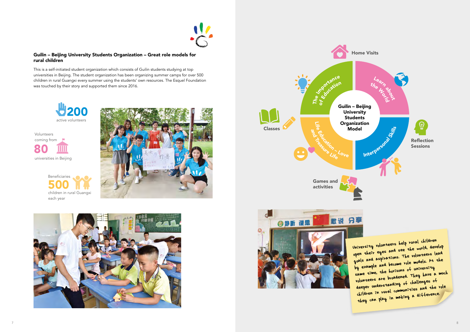## Guilin – Beijing University Students Organization – Great role models for rural children

This is a self-initiated student organization which consists of Guilin students studying at top universities in Beijing. The student organization has been organizing summer camps for over 500 children in rural Guangxi every summer using the students' own resources. The Esquel Foundation was touched by their story and supported them since 2016.

> University volunteers help rural children University volumeers not<br>open their eyes and see the world, develop goals and aspirations. The volunteers lead by example and become role models. At the same time, the horizons of university volunteers are broadened. They have a much deeper understanding of challenges of children in rural communities and the role they can play in making a difference.









80 universities in Beijing Volunteers coming from



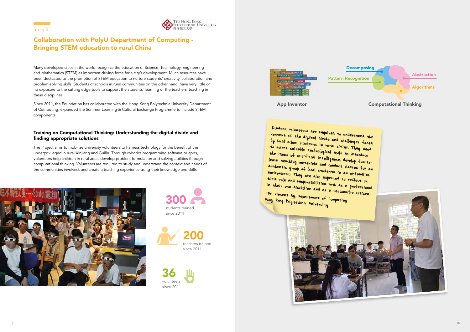Many developed cities in the world recognize the education of Science, Technology, Engineering and Mathematics (STEM) as important driving force for a city's development. Much resources have been dedicated to the promotion of STEM education to nurture students' creativity, collaboration and problem-solving skills. Students or schools in rural communities on the other hand, have very little or no exposure to the cutting edge tools to support the students' learning or the teachers' teaching in these disciplines.

Since 2011, the Foundation has collaborated with the Hong Kong Polytechnic University Department of Computing, expanded the Summer Learning & Cultural Exchange Programme to include STEM components.

## Training on Computational Thinking: Understanding the digital divide and finding appropriate solutions

The Project aims to mobilize university volunteers to harness technology for the benefit of the underprivileged in rural Xinjiang and Guilin. Through robotics programming software or apps, volunteers help children in rural areas develop problem formulation and solving abilities through computational thinking. Volunteers are required to study and understand the context and needs of the communities involved, and create a teaching experience using their knowledge and skills.



Story 3



# Collaboration with PolyU Department of Computing - Bringing STEM education to rural China



![](_page_5_Picture_8.jpeg)

![](_page_5_Picture_7.jpeg)

36 volunteers since 2011

![](_page_5_Picture_10.jpeg)

Student volunteers are required to understand the context of the digital divide and challenges faced by local school students in rural cities. They need to select suitable technological tools to introduce the ideas of artificial intelligence, develop fun-to learn teaching materials and conduct classes for an authentic group of local students in an unfamiliar environment. They are also expected to reflect on their role and responsibilities both as a professional in their own discipline and as a responsible citizen.

![](_page_5_Picture_16.jpeg)

Hong Kong Polytechnic University